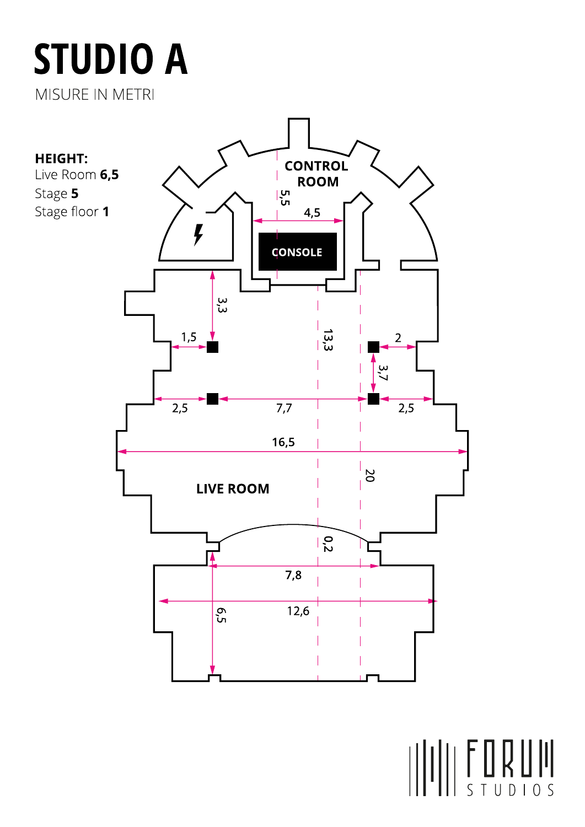## **STUDIO A** MISURE IN METRI



STUDIOS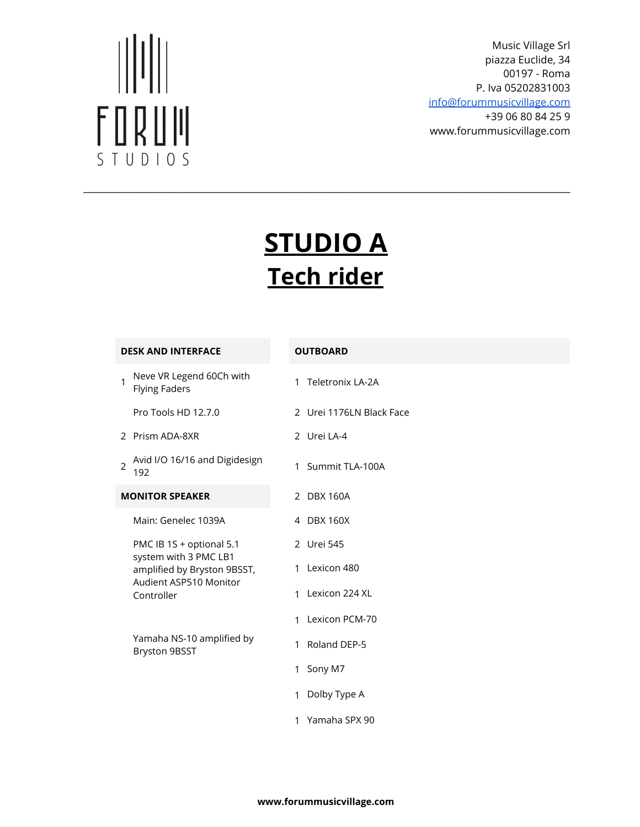# $\begin{aligned} &\big|\big|\big|\big|\big|\big|\big|\big| \end{aligned}$ FORUM STUDIOS

Music Village Srl piazza Euclide, 34 00197 - Roma P. Iva 05202831003

[info@forummusicvillage.com](mailto:info@forummusicvillage.com) +39 06 80 84 25 9

www.forummusicvillage.com

### **STUDIO A Tech rider**

\_\_\_\_\_\_\_\_\_\_\_\_\_\_\_\_\_\_\_\_\_\_\_\_\_\_\_\_\_\_\_\_\_\_\_\_\_\_\_\_\_\_\_\_\_\_\_\_\_\_\_\_\_\_\_\_\_\_\_\_\_\_\_\_\_\_\_\_\_\_\_\_\_\_\_\_\_\_\_\_\_\_\_\_\_\_\_\_\_\_\_\_\_\_\_\_\_\_\_\_\_\_\_\_

#### **DESK AND INTERFACE OUTBOARD**

| 1 | Neve VR Legend 60Ch with<br><b>Flying Faders</b>                                                                         |              | 1 Teletronix LA-2A       |
|---|--------------------------------------------------------------------------------------------------------------------------|--------------|--------------------------|
|   | Pro Tools HD 12.7.0                                                                                                      |              | 2 Urei 1176LN Black Face |
|   | 2 Prism ADA-8XR                                                                                                          |              | 2 Urei LA-4              |
| 2 | Avid I/O 16/16 and Digidesign<br>192                                                                                     | 1            | Summit TLA-100A          |
|   | <b>MONITOR SPEAKER</b>                                                                                                   |              | 2 DBX 160A               |
|   | Main: Genelec 1039A                                                                                                      |              | 4 DBX 160X               |
|   | PMC IB 1S + optional 5.1<br>system with 3 PMC LB1<br>amplified by Bryston 9BSST,<br>Audient ASP510 Monitor<br>Controller |              | 2 Urei 545               |
|   |                                                                                                                          | 1            | Lexicon 480              |
|   |                                                                                                                          | $\mathbf{1}$ | Lexicon 224 XL           |
|   |                                                                                                                          | 1            | Lexicon PCM-70           |
|   | Yamaha NS-10 amplified by<br><b>Bryston 9BSST</b>                                                                        | 1            | Roland DEP-5             |
|   |                                                                                                                          | $\mathbf{1}$ | Sony M7                  |
|   |                                                                                                                          | 1            | Dolby Type A             |
|   |                                                                                                                          | 1            | Yamaha SPX 90            |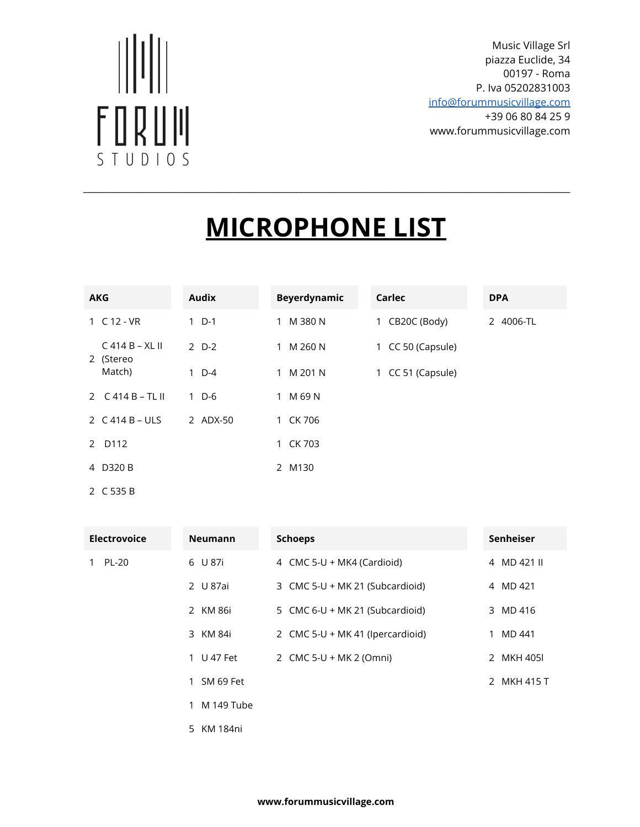# $\begin{aligned} &\big|\big|\big|\big|\big|\big|\big| \end{aligned}$ FORUM STUDIOS

Music Village Srl piazza Euclide, 34 00197 - Roma P. Iva 05202831003

[info@forummusicvillage.com](mailto:info@forummusicvillage.com) +39 06 80 84 25 9 www.forummusicvillage.com

## **MICROPHONE LIST**

\_\_\_\_\_\_\_\_\_\_\_\_\_\_\_\_\_\_\_\_\_\_\_\_\_\_\_\_\_\_\_\_\_\_\_\_\_\_\_\_\_\_\_\_\_\_\_\_\_\_\_\_\_\_\_\_\_\_\_\_\_\_\_\_\_\_\_\_\_\_\_\_\_\_\_\_\_\_\_\_\_\_\_\_\_\_\_\_\_\_\_\_\_\_\_\_\_\_\_\_\_\_\_\_

| <b>AKG</b>                     |  | <b>Audix</b> |              | <b>Beyerdynamic</b> | Carlec            | <b>DPA</b> |
|--------------------------------|--|--------------|--------------|---------------------|-------------------|------------|
| 1 C 12 - VR                    |  | $1\,D-1$     |              | 1 M 380 N           | 1 CB20C (Body)    | 2 4006-TL  |
| $C$ 414 B – XL II<br>2 (Stereo |  | $2$ D-2      | $\mathbf{1}$ | M 260 N             | 1 CC 50 (Capsule) |            |
| Match)                         |  | $1\quad D-4$ | $\mathbf{1}$ | M 201 N             | 1 CC 51 (Capsule) |            |
| 2 $C$ 414 B – TL II            |  | $1\,D-6$     | 1 M 69 N     |                     |                   |            |
| 2 $C$ 414 B – ULS              |  | 2 ADX-50     | 1 CK 706     |                     |                   |            |
| 2 D112                         |  |              | 1 CK 703     |                     |                   |            |
| 4 D320 B                       |  |              | 2 M130       |                     |                   |            |

2 C 535 B

| <b>Electrovoice</b> | <b>Neumann</b>             | <b>Schoeps</b>                    | Senheiser   |
|---------------------|----------------------------|-----------------------------------|-------------|
| 1 PL-20             | 6 U 87i                    | 4 CMC 5-U + MK4 (Cardioid)        | 4 MD 421 II |
|                     | 2 U 87ai                   | 3 CMC 5-U + MK 21 (Subcardioid)   | 4 MD 421    |
|                     | 2 KM 86i                   | 5 CMC $6-U + MK$ 21 (Subcardioid) | 3 MD 416    |
|                     | 3 KM 84i                   | 2 CMC 5-U + MK 41 (Ipercardioid)  | 1 MD 441    |
|                     | 1 U 47 Fet                 | 2 CMC 5-U + MK 2 (Omni)           | 2 MKH 405   |
|                     | 1 SM 69 Fet                |                                   | 2 MKH 415 T |
|                     | M 149 Tube<br>$\mathbf{1}$ |                                   |             |
|                     | 5 KM 184ni                 |                                   |             |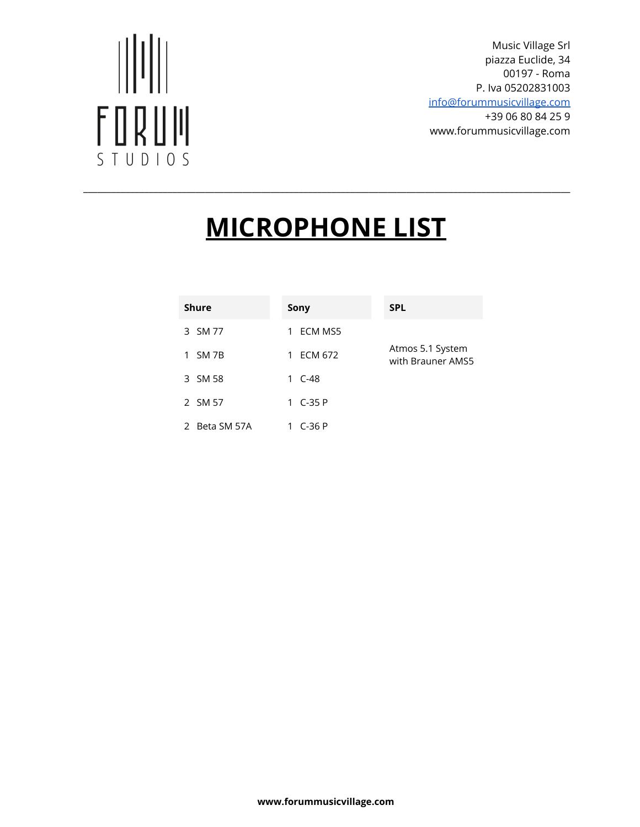# $\big|\big|\big|\big|\big|\big|\big|\big|\big|$ FORUM STUDIOS

Music Village Srl piazza Euclide, 34 00197 - Roma P. Iva 05202831003

[info@forummusicvillage.com](mailto:info@forummusicvillage.com) +39 06 80 84 25 9 www.forummusicvillage.com

## **MICROPHONE LIST**

\_\_\_\_\_\_\_\_\_\_\_\_\_\_\_\_\_\_\_\_\_\_\_\_\_\_\_\_\_\_\_\_\_\_\_\_\_\_\_\_\_\_\_\_\_\_\_\_\_\_\_\_\_\_\_\_\_\_\_\_\_\_\_\_\_\_\_\_\_\_\_\_\_\_\_\_\_\_\_\_\_\_\_\_\_\_\_\_\_\_\_\_\_\_\_\_\_\_\_\_\_\_\_\_

| <b>Shure</b>  | Sony         | <b>SPL</b>                            |
|---------------|--------------|---------------------------------------|
| 3 SM 77       | ECM MS5<br>1 |                                       |
| SM 7B<br>1    | ECM 672<br>1 | Atmos 5.1 System<br>with Brauner AMS5 |
| 3 SM 58       | 1 C-48       |                                       |
| 2 SM 57       | 1 C-35 P     |                                       |
| 2 Beta SM 57A | C-36 P       |                                       |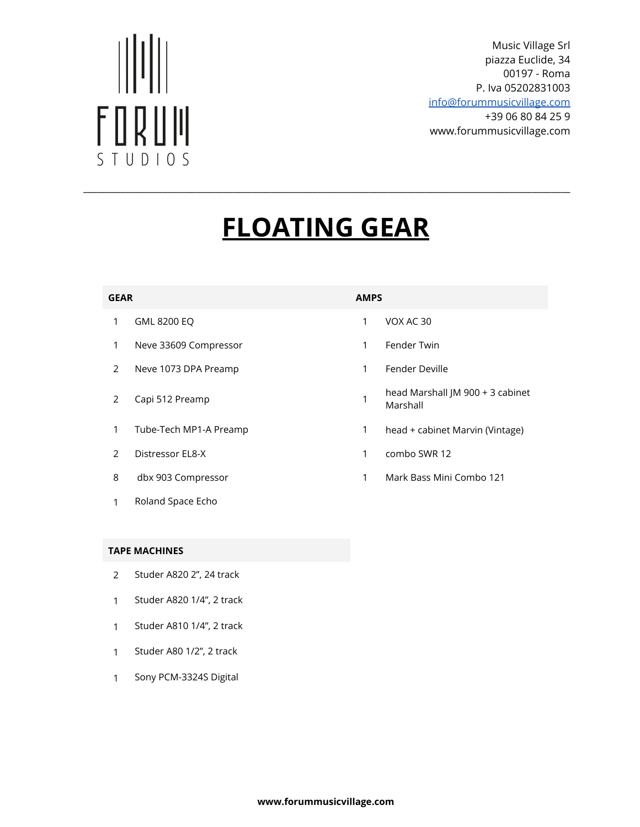# FORUM STUDIOS

Music Village Srl piazza Euclide, 34 00197 - Roma P. Iva 05202831003

[info@forummusicvillage.com](mailto:info@forummusicvillage.com) +39 06 80 84 25 9 www.forummusicvillage.com

## **FLOATING GEAR**

\_\_\_\_\_\_\_\_\_\_\_\_\_\_\_\_\_\_\_\_\_\_\_\_\_\_\_\_\_\_\_\_\_\_\_\_\_\_\_\_\_\_\_\_\_\_\_\_\_\_\_\_\_\_\_\_\_\_\_\_\_\_\_\_\_\_\_\_\_\_\_\_\_\_\_\_\_\_\_\_\_\_\_\_\_\_\_\_\_\_\_\_\_\_\_\_\_\_\_\_\_\_\_\_

#### **GEAR AMPS**

- 1 GML 8200 EQ 1 VOX AC 30
- 1 Neve 33609 Compressor 1 Fender Twin
- 2 Neve 1073 DPA Preamp 1 Fender Deville
- 
- 
- 
- 
- 1 Roland Space Echo

- 
- 
- 
- 2 Capi 512 Preamp 1 head Marshall JM 900 + 3 cabinet Marshall
- 1 Tube-Tech MP1-A Preamp 1 head + cabinet Marvin (Vintage)
- 2 Distressor EL8-X 1 combo SWR 12
- 8 dbx 903 Compressor 1 Mark Bass Mini Combo 121

#### **TAPE MACHINES**

- 2 Studer A820 2", 24 track
- 1 Studer A820 1/4", 2 track
- 1 Studer A810 1/4", 2 track
- 1 Studer A80 1/2", 2 track
- 1 Sony PCM-3324S Digital